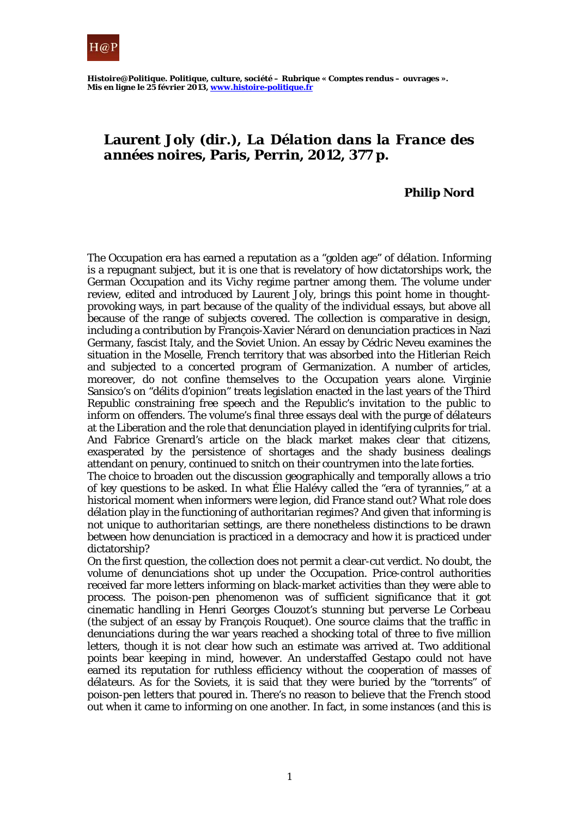

*Histoire@Politique. Politique, culture, société* **– Rubrique « Comptes rendus – ouvrages ». Mis en ligne le 25 février 2013, www.histoire-politique.fr**

## **Laurent Joly (dir.),** *La Délation dans la France des années noires***, Paris, Perrin, 2012, 377 p.**

## **Philip Nord**

The Occupation era has earned a reputation as a "golden age" of *délation*. Informing is a repugnant subject, but it is one that is revelatory of how dictatorships work, the German Occupation and its Vichy regime partner among them. The volume under review, edited and introduced by Laurent Joly, brings this point home in thoughtprovoking ways, in part because of the quality of the individual essays, but above all because of the range of subjects covered. The collection is comparative in design, including a contribution by François-Xavier Nérard on denunciation practices in Nazi Germany, fascist Italy, and the Soviet Union. An essay by Cédric Neveu examines the situation in the Moselle, French territory that was absorbed into the Hitlerian Reich and subjected to a concerted program of Germanization. A number of articles, moreover, do not confine themselves to the Occupation years alone. Virginie Sansico's on "*délits d'opinion*" treats legislation enacted in the last years of the Third Republic constraining free speech and the Republic's invitation to the public to inform on offenders. The volume's final three essays deal with the purge of *délateurs* at the Liberation and the role that denunciation played in identifying culprits for trial. And Fabrice Grenard's article on the black market makes clear that citizens, exasperated by the persistence of shortages and the shady business dealings attendant on penury, continued to snitch on their countrymen into the late forties.

The choice to broaden out the discussion geographically and temporally allows a trio of key questions to be asked. In what Élie Halévy called the "era of tyrannies," at a historical moment when informers were legion, did France stand out? What role does *délation* play in the functioning of authoritarian regimes? And given that informing is not unique to authoritarian settings, are there nonetheless distinctions to be drawn between how denunciation is practiced in a democracy and how it is practiced under dictatorship?

On the first question, the collection does not permit a clear-cut verdict. No doubt, the volume of denunciations shot up under the Occupation. Price-control authorities received far more letters informing on black-market activities than they were able to process. The poison-pen phenomenon was of sufficient significance that it got cinematic handling in Henri Georges Clouzot's stunning but perverse *Le Corbeau* (the subject of an essay by François Rouquet). One source claims that the traffic in denunciations during the war years reached a shocking total of three to five million letters, though it is not clear how such an estimate was arrived at. Two additional points bear keeping in mind, however. An understaffed Gestapo could not have earned its reputation for ruthless efficiency without the cooperation of masses of *délateurs*. As for the Soviets, it is said that they were buried by the "torrents" of poison-pen letters that poured in. There's no reason to believe that the French stood out when it came to informing on one another. In fact, in some instances (and this is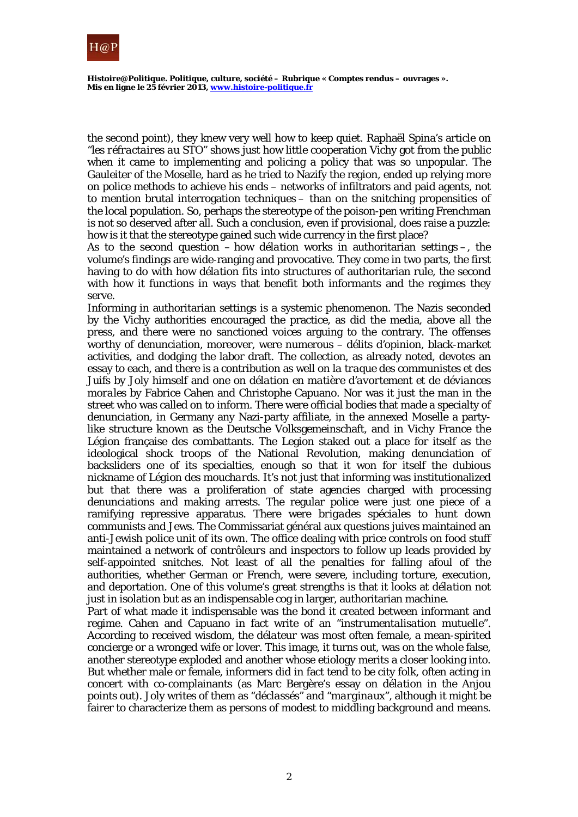

*Histoire@Politique. Politique, culture, société* **– Rubrique « Comptes rendus – ouvrages ». Mis en ligne le 25 février 2013, www.histoire-politique.fr**

the second point), they knew very well how to keep quiet. Raphaël Spina's article on "*les réfractaires au STO*" shows just how little cooperation Vichy got from the public when it came to implementing and policing a policy that was so unpopular. The Gauleiter of the Moselle, hard as he tried to Nazify the region, ended up relying more on police methods to achieve his ends – networks of infiltrators and paid agents, not to mention brutal interrogation techniques – than on the snitching propensities of the local population. So, perhaps the stereotype of the poison-pen writing Frenchman is not so deserved after all. Such a conclusion, even if provisional, does raise a puzzle: how is it that the stereotype gained such wide currency in the first place?

As to the second question – how *délation* works in authoritarian settings –, the volume's findings are wide-ranging and provocative. They come in two parts, the first having to do with how *délation* fits into structures of authoritarian rule, the second with how it functions in ways that benefit both informants and the regimes they serve.

Informing in authoritarian settings is a systemic phenomenon. The Nazis seconded by the Vichy authorities encouraged the practice, as did the media, above all the press, and there were no sanctioned voices arguing to the contrary. The offenses worthy of denunciation, moreover, were numerous – *délits d'opinion*, black-market activities, and dodging the labor draft. The collection, as already noted, devotes an essay to each, and there is a contribution as well on *la traque des communistes et des Juifs* by Joly himself and one on *délation en matière d'avortement et de déviances morales* by Fabrice Cahen and Christophe Capuano. Nor was it just the man in the street who was called on to inform. There were official bodies that made a specialty of denunciation, in Germany any Nazi-party affiliate, in the annexed Moselle a partylike structure known as the Deutsche Volksgemeinschaft, and in Vichy France the Légion française des combattants. The Legion staked out a place for itself as the ideological shock troops of the National Revolution, making denunciation of backsliders one of its specialties, enough so that it won for itself the dubious nickname of *Légion des mouchards*. It's not just that informing was institutionalized but that there was a proliferation of state agencies charged with processing denunciations and making arrests. The regular police were just one piece of a ramifying repressive apparatus. There were *brigades spéciales* to hunt down communists and Jews. The Commissariat général aux questions juives maintained an anti-Jewish police unit of its own. The office dealing with price controls on food stuff maintained a network of *contrôleurs* and inspectors to follow up leads provided by self-appointed snitches. Not least of all the penalties for falling afoul of the authorities, whether German or French, were severe, including torture, execution, and deportation. One of this volume's great strengths is that it looks at *délation* not just in isolation but as an indispensable cog in larger, authoritarian machine.

Part of what made it indispensable was the bond it created between informant and regime. Cahen and Capuano in fact write of an "*instrumentalisation mutuelle*". According to received wisdom, the *délateur* was most often female, a mean-spirited concierge or a wronged wife or lover. This image, it turns out, was on the whole false, another stereotype exploded and another whose etiology merits a closer looking into. But whether male or female, informers did in fact tend to be city folk, often acting in concert with co-complainants (as Marc Bergère's essay on *délation* in the Anjou points out). Joly writes of them as "*déclassés*" and "*marginaux*", although it might be fairer to characterize them as persons of modest to middling background and means.